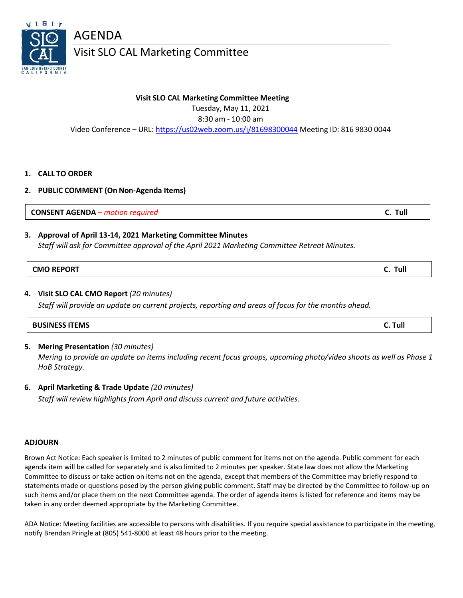

Visit SLO CAL Marketing Committee

### **Visit SLO CAL Marketing Committee Meeting**

Tuesday, May 11, 2021

8:30 am - 10:00 am

Video Conference – URL: <https://us02web.zoom.us/j/81698300044> Meeting ID: 816 9830 0044

### **1. CALL TO ORDER**

**2. PUBLIC COMMENT (On Non-Agenda Items)**

**CONSENT AGENDA** *– motion required* **C. Tull**

## **3. Approval of April 13-14, 2021 Marketing Committee Minutes**

*Staff will ask for Committee approval of the April 2021 Marketing Committee Retreat Minutes.*

# **CMO REPORT C. Tull**

### **4. Visit SLO CAL CMO Report** *(20 minutes)*

*Staff will provide an update on current projects, reporting and areas of focus for the months ahead.*

### **5. Mering Presentation** *(30 minutes)*

*Mering to provide an update on items including recent focus groups, upcoming photo/video shoots as well as Phase 1 HoB Strategy.*

**6. April Marketing & Trade Update** *(20 minutes)*

*Staff will review highlights from April and discuss current and future activities.*

### **ADJOURN**

Brown Act Notice: Each speaker is limited to 2 minutes of public comment for items not on the agenda. Public comment for each agenda item will be called for separately and is also limited to 2 minutes per speaker. State law does not allow the Marketing Committee to discuss or take action on items not on the agenda, except that members of the Committee may briefly respond to statements made or questions posed by the person giving public comment. Staff may be directed by the Committee to follow-up on such items and/or place them on the next Committee agenda. The order of agenda items is listed for reference and items may be taken in any order deemed appropriate by the Marketing Committee.

ADA Notice: Meeting facilities are accessible to persons with disabilities. If you require special assistance to participate in the meeting, notify Brendan Pringle at (805) 541-8000 at least 48 hours prior to the meeting.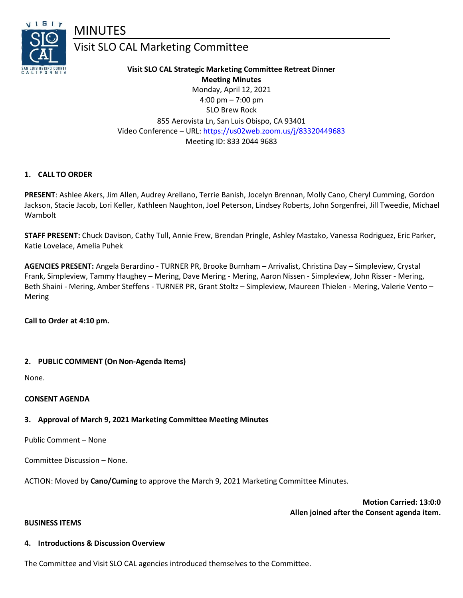

# MINUTES

# Visit SLO CAL Marketing Committee

**Visit SLO CAL Strategic Marketing Committee Retreat Dinner Meeting Minutes** Monday, April 12, 2021 4:00 pm – 7:00 pm SLO Brew Rock 855 Aerovista Ln, San Luis Obispo, CA 93401 Video Conference – URL: <https://us02web.zoom.us/j/83320449683> Meeting ID: 833 2044 9683

### **1. CALL TO ORDER**

**PRESENT**: Ashlee Akers, Jim Allen, Audrey Arellano, Terrie Banish, Jocelyn Brennan, Molly Cano, Cheryl Cumming, Gordon Jackson, Stacie Jacob, Lori Keller, Kathleen Naughton, Joel Peterson, Lindsey Roberts, John Sorgenfrei, Jill Tweedie, Michael Wambolt

**STAFF PRESENT:** Chuck Davison, Cathy Tull, Annie Frew, Brendan Pringle, Ashley Mastako, Vanessa Rodriguez, Eric Parker, Katie Lovelace, Amelia Puhek

**AGENCIES PRESENT:** Angela Berardino - TURNER PR, Brooke Burnham – Arrivalist, Christina Day – Simpleview, Crystal Frank, Simpleview, Tammy Haughey – Mering, Dave Mering - Mering, Aaron Nissen - Simpleview, John Risser - Mering, Beth Shaini - Mering, Amber Steffens - TURNER PR, Grant Stoltz – Simpleview, Maureen Thielen - Mering, Valerie Vento – Mering

### **Call to Order at 4:10 pm.**

### **2. PUBLIC COMMENT (On Non-Agenda Items)**

None.

### **CONSENT AGENDA**

### **3. Approval of March 9, 2021 Marketing Committee Meeting Minutes**

Public Comment – None

Committee Discussion – None.

ACTION: Moved by **Cano/Cuming** to approve the March 9, 2021 Marketing Committee Minutes.

**Motion Carried: 13:0:0 Allen joined after the Consent agenda item.**

#### **BUSINESS ITEMS**

### **4. Introductions & Discussion Overview**

The Committee and Visit SLO CAL agencies introduced themselves to the Committee.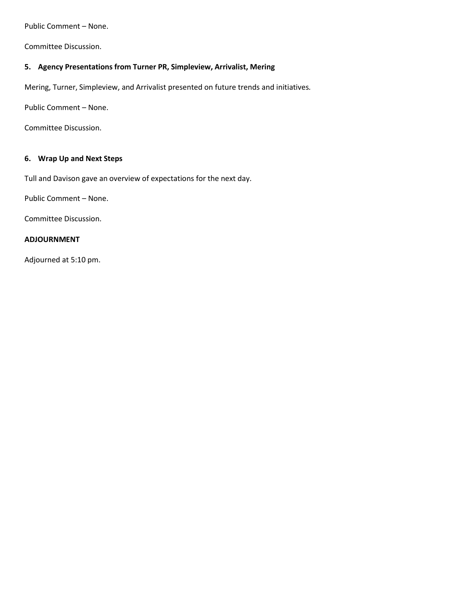Public Comment – None.

Committee Discussion.

## **5. Agency Presentations from Turner PR, Simpleview, Arrivalist, Mering**

Mering, Turner, Simpleview, and Arrivalist presented on future trends and initiatives*.* 

Public Comment – None.

Committee Discussion.

### **6. Wrap Up and Next Steps**

Tull and Davison gave an overview of expectations for the next day.

Public Comment – None.

Committee Discussion.

#### **ADJOURNMENT**

Adjourned at 5:10 pm.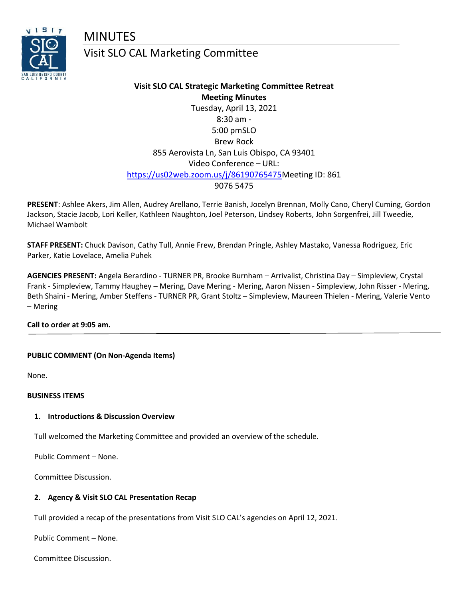MINUTES



# Visit SLO CAL Marketing Committee

# **Visit SLO CAL Strategic Marketing Committee Retreat Meeting Minutes** Tuesday, April 13, 2021 8:30 am - 5:00 pmSLO Brew Rock 855 Aerovista Ln, San Luis Obispo, CA 93401 Video Conference – URL: [https://us02web.zoom.us/j/86190765475M](https://us02web.zoom.us/j/86190765475)eeting ID: 861 9076 5475

**PRESENT**: Ashlee Akers, Jim Allen, Audrey Arellano, Terrie Banish, Jocelyn Brennan, Molly Cano, Cheryl Cuming, Gordon Jackson, Stacie Jacob, Lori Keller, Kathleen Naughton, Joel Peterson, Lindsey Roberts, John Sorgenfrei, Jill Tweedie, Michael Wambolt

**STAFF PRESENT:** Chuck Davison, Cathy Tull, Annie Frew, Brendan Pringle, Ashley Mastako, Vanessa Rodriguez, Eric Parker, Katie Lovelace, Amelia Puhek

**AGENCIES PRESENT:** Angela Berardino - TURNER PR, Brooke Burnham – Arrivalist, Christina Day – Simpleview, Crystal Frank - Simpleview, Tammy Haughey – Mering, Dave Mering - Mering, Aaron Nissen - Simpleview, John Risser - Mering, Beth Shaini - Mering, Amber Steffens - TURNER PR, Grant Stoltz – Simpleview, Maureen Thielen - Mering, Valerie Vento – Mering

### **Call to order at 9:05 am.**

### **PUBLIC COMMENT (On Non-Agenda Items)**

None.

#### **BUSINESS ITEMS**

### **1. Introductions & Discussion Overview**

Tull welcomed the Marketing Committee and provided an overview of the schedule.

Public Comment – None.

Committee Discussion.

### **2. Agency & Visit SLO CAL Presentation Recap**

Tull provided a recap of the presentations from Visit SLO CAL's agencies on April 12, 2021.

Public Comment – None.

Committee Discussion.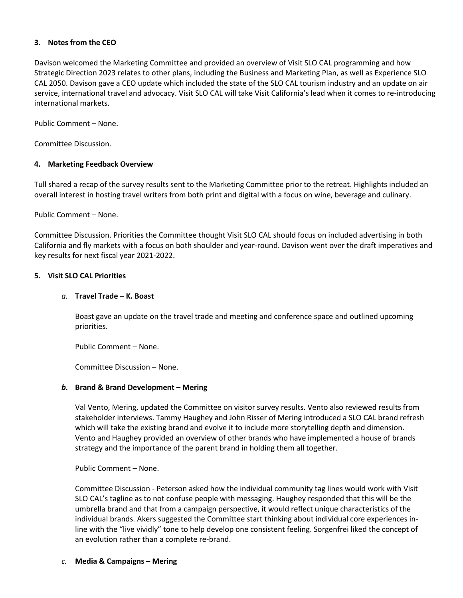### **3. Notes from the CEO**

Davison welcomed the Marketing Committee and provided an overview of Visit SLO CAL programming and how Strategic Direction 2023 relates to other plans, including the Business and Marketing Plan, as well as Experience SLO CAL 2050. Davison gave a CEO update which included the state of the SLO CAL tourism industry and an update on air service, international travel and advocacy. Visit SLO CAL will take Visit California's lead when it comes to re-introducing international markets.

Public Comment – None.

Committee Discussion.

### **4. Marketing Feedback Overview**

Tull shared a recap of the survey results sent to the Marketing Committee prior to the retreat. Highlights included an overall interest in hosting travel writers from both print and digital with a focus on wine, beverage and culinary.

Public Comment – None.

Committee Discussion. Priorities the Committee thought Visit SLO CAL should focus on included advertising in both California and fly markets with a focus on both shoulder and year-round. Davison went over the draft imperatives and key results for next fiscal year 2021-2022.

### **5. Visit SLO CAL Priorities**

### *a.* **Travel Trade – K. Boast**

Boast gave an update on the travel trade and meeting and conference space and outlined upcoming priorities.

Public Comment – None.

Committee Discussion – None.

### *b.* **Brand & Brand Development – Mering**

Val Vento, Mering, updated the Committee on visitor survey results. Vento also reviewed results from stakeholder interviews. Tammy Haughey and John Risser of Mering introduced a SLO CAL brand refresh which will take the existing brand and evolve it to include more storytelling depth and dimension. Vento and Haughey provided an overview of other brands who have implemented a house of brands strategy and the importance of the parent brand in holding them all together.

Public Comment – None.

Committee Discussion - Peterson asked how the individual community tag lines would work with Visit SLO CAL's tagline as to not confuse people with messaging. Haughey responded that this will be the umbrella brand and that from a campaign perspective, it would reflect unique characteristics of the individual brands. Akers suggested the Committee start thinking about individual core experiences inline with the "live vividly" tone to help develop one consistent feeling. Sorgenfrei liked the concept of an evolution rather than a complete re-brand.

*c.* **Media & Campaigns – Mering**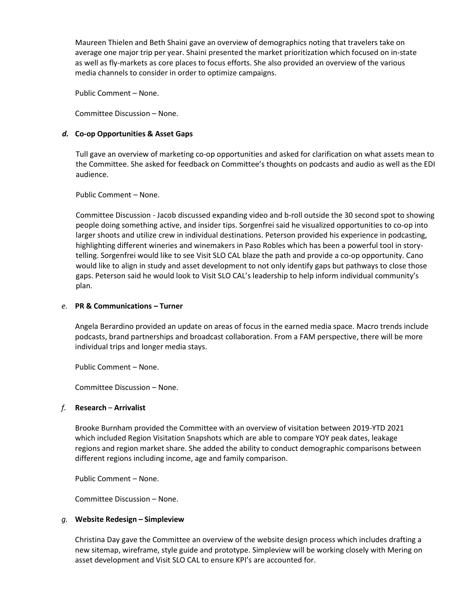Maureen Thielen and Beth Shaini gave an overview of demographics noting that travelers take on average one major trip per year. Shaini presented the market prioritization which focused on in-state as well as fly-markets as core places to focus efforts. She also provided an overview of the various media channels to consider in order to optimize campaigns.

Public Comment – None.

Committee Discussion – None.

### *d.* **Co-op Opportunities & Asset Gaps**

Tull gave an overview of marketing co-op opportunities and asked for clarification on what assets mean to the Committee. She asked for feedback on Committee's thoughts on podcasts and audio as well as the EDI audience.

Public Comment – None.

Committee Discussion - Jacob discussed expanding video and b-roll outside the 30 second spot to showing people doing something active, and insider tips. Sorgenfrei said he visualized opportunities to co-op into larger shoots and utilize crew in individual destinations. Peterson provided his experience in podcasting, highlighting different wineries and winemakers in Paso Robles which has been a powerful tool in storytelling. Sorgenfrei would like to see Visit SLO CAL blaze the path and provide a co-op opportunity. Cano would like to align in study and asset development to not only identify gaps but pathways to close those gaps. Peterson said he would look to Visit SLO CAL's leadership to help inform individual community's plan.

### *e.* **PR & Communications – Turner**

Angela Berardino provided an update on areas of focus in the earned media space. Macro trends include podcasts, brand partnerships and broadcast collaboration. From a FAM perspective, there will be more individual trips and longer media stays.

Public Comment – None.

Committee Discussion – None.

### *f.* **Research** – **Arrivalist**

Brooke Burnham provided the Committee with an overview of visitation between 2019-YTD 2021 which included Region Visitation Snapshots which are able to compare YOY peak dates, leakage regions and region market share. She added the ability to conduct demographic comparisons between different regions including income, age and family comparison.

Public Comment – None.

Committee Discussion – None.

### *g.* **Website Redesign – Simpleview**

Christina Day gave the Committee an overview of the website design process which includes drafting a new sitemap, wireframe, style guide and prototype. Simpleview will be working closely with Mering on asset development and Visit SLO CAL to ensure KPI's are accounted for.